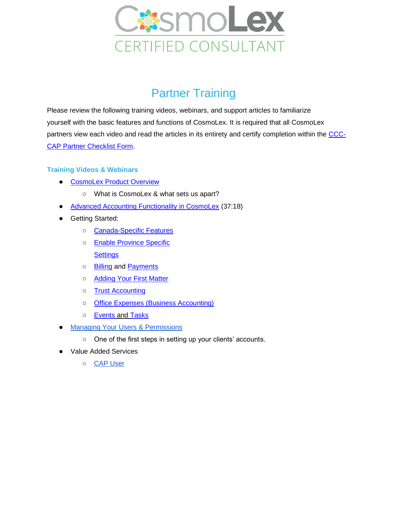

## **Partner Training**

Please review the following training videos, webinars, and support articles to familiarize yourself with the basic features and functions of CosmoLex. It is required that all CosmoLex partners view each video and read the articles in its entirety and certify completion within the [CCC-](https://forms.gle/4urDuY9p83ERk8M7A)[CAP Partner Checklist Form.](https://forms.gle/4urDuY9p83ERk8M7A)

## **Training Videos & Webinars**

- [CosmoLex Product Overview](https://www.cosmolex.ca/?video=overview-canada)
	- What is CosmoLex & what sets us apart?
- [Advanced Accounting Functionality in CosmoLex](http://support.cosmolex.com/knowledge-base/webinar-advanced-accounting-functionality/) (37:18)
- Getting Started:
	- o [Canada-Specific Features](https://support.cosmolex.com/articles/canada-specific/)
	- o **[Enable Province Specific](https://support.cosmolex.com/knowledge-base/enable-province-specific-settings/) [Settings](https://support.cosmolex.com/knowledge-base/enable-province-specific-settings/)**
	- o [Billing](https://support.cosmolex.com/articles/time-and-expense-entry/) and [Payments](https://support.cosmolex.com/articles/payments/)
	- [Adding Your First Matter](https://support.cosmolex.com/knowledge-base/add-and-manage-matters/)
	- [Trust Accounting](https://support.cosmolex.com/articles/trust-accounting/)
	- [Office Expenses \(Business Accounting\)](https://support.cosmolex.com/articles/business-accounting/)
	- o **[Events](https://support.cosmolex.com/knowledge-base/manage-calendar-events/) and [Tasks](https://support.cosmolex.com/knowledge-base/manage-tasks/)**
- **Managing Your Users & Permissions** 
	- One of the first steps in setting up your clients' accounts.
- Value Added Services
	- [CAP User](https://support.cosmolex.com/knowledge-base/how-to-add-a-cosmolex-accounting-partner-cap-to-your-cosmolex-subscription/#what-is-a-cap)